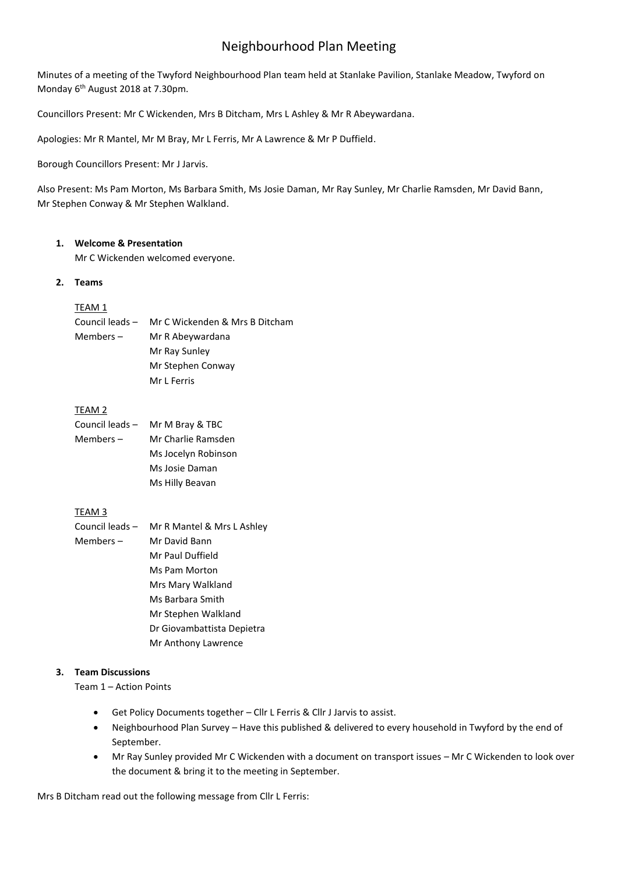# Neighbourhood Plan Meeting

Minutes of a meeting of the Twyford Neighbourhood Plan team held at Stanlake Pavilion, Stanlake Meadow, Twyford on Monday 6<sup>th</sup> August 2018 at 7.30pm.

Councillors Present: Mr C Wickenden, Mrs B Ditcham, Mrs L Ashley & Mr R Abeywardana.

Apologies: Mr R Mantel, Mr M Bray, Mr L Ferris, Mr A Lawrence & Mr P Duffield.

Borough Councillors Present: Mr J Jarvis.

Also Present: Ms Pam Morton, Ms Barbara Smith, Ms Josie Daman, Mr Ray Sunley, Mr Charlie Ramsden, Mr David Bann, Mr Stephen Conway & Mr Stephen Walkland.

#### **1. Welcome & Presentation**

Mr C Wickenden welcomed everyone.

#### **2. Teams**

# TEAM 1

| Council leads – | Mr C Wickenden & Mrs B Ditcham |
|-----------------|--------------------------------|
| Members –       | Mr R Abeywardana               |
|                 | Mr Ray Sunley                  |
|                 | Mr Stephen Conway              |
|                 | Mr L Ferris                    |

#### TEAM 2

| Council leads – | Mr M Bray & TBC     |
|-----------------|---------------------|
| Members –       | Mr Charlie Ramsden  |
|                 | Ms Jocelyn Robinson |
|                 | Ms Josie Daman      |
|                 | Ms Hilly Beavan     |

# TEAM 3

| Council leads – | Mr R Mantel & Mrs L Ashley |
|-----------------|----------------------------|
| Members $-$     | Mr David Bann              |
|                 | Mr Paul Duffield           |
|                 | Ms Pam Morton              |
|                 | Mrs Mary Walkland          |
|                 | Ms Barbara Smith           |
|                 | Mr Stephen Walkland        |
|                 | Dr Giovambattista Depietra |
|                 | Mr Anthony Lawrence        |

# **3. Team Discussions**

Team 1 – Action Points

- Get Policy Documents together Cllr L Ferris & Cllr J Jarvis to assist.
- Neighbourhood Plan Survey Have this published & delivered to every household in Twyford by the end of September.
- Mr Ray Sunley provided Mr C Wickenden with a document on transport issues Mr C Wickenden to look over the document & bring it to the meeting in September.

Mrs B Ditcham read out the following message from Cllr L Ferris: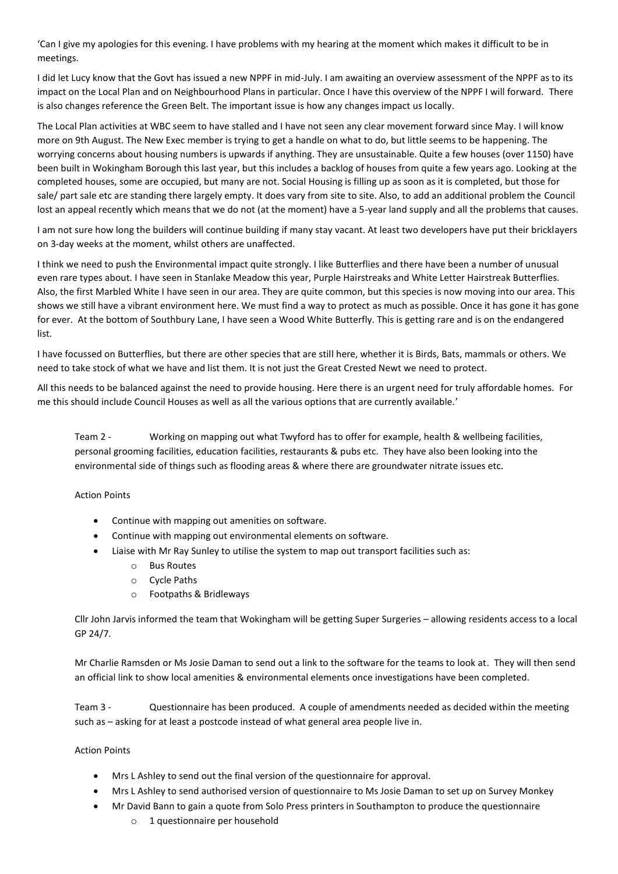'Can I give my apologies for this evening. I have problems with my hearing at the moment which makes it difficult to be in meetings.

I did let Lucy know that the Govt has issued a new NPPF in mid-July. I am awaiting an overview assessment of the NPPF as to its impact on the Local Plan and on Neighbourhood Plans in particular. Once I have this overview of the NPPF I will forward. There is also changes reference the Green Belt. The important issue is how any changes impact us locally.

The Local Plan activities at WBC seem to have stalled and I have not seen any clear movement forward since May. I will know more on 9th August. The New Exec member is trying to get a handle on what to do, but little seems to be happening. The worrying concerns about housing numbers is upwards if anything. They are unsustainable. Quite a few houses (over 1150) have been built in Wokingham Borough this last year, but this includes a backlog of houses from quite a few years ago. Looking at the completed houses, some are occupied, but many are not. Social Housing is filling up as soon as it is completed, but those for sale/ part sale etc are standing there largely empty. It does vary from site to site. Also, to add an additional problem the Council lost an appeal recently which means that we do not (at the moment) have a 5-year land supply and all the problems that causes.

I am not sure how long the builders will continue building if many stay vacant. At least two developers have put their bricklayers on 3-day weeks at the moment, whilst others are unaffected.

I think we need to push the Environmental impact quite strongly. I like Butterflies and there have been a number of unusual even rare types about. I have seen in Stanlake Meadow this year, Purple Hairstreaks and White Letter Hairstreak Butterflies. Also, the first Marbled White I have seen in our area. They are quite common, but this species is now moving into our area. This shows we still have a vibrant environment here. We must find a way to protect as much as possible. Once it has gone it has gone for ever. At the bottom of Southbury Lane, I have seen a Wood White Butterfly. This is getting rare and is on the endangered list.

I have focussed on Butterflies, but there are other species that are still here, whether it is Birds, Bats, mammals or others. We need to take stock of what we have and list them. It is not just the Great Crested Newt we need to protect.

All this needs to be balanced against the need to provide housing. Here there is an urgent need for truly affordable homes. For me this should include Council Houses as well as all the various options that are currently available.'

Team 2 - Working on mapping out what Twyford has to offer for example, health & wellbeing facilities, personal grooming facilities, education facilities, restaurants & pubs etc. They have also been looking into the environmental side of things such as flooding areas & where there are groundwater nitrate issues etc.

#### Action Points

- Continue with mapping out amenities on software.
- Continue with mapping out environmental elements on software.
- Liaise with Mr Ray Sunley to utilise the system to map out transport facilities such as:
	- o Bus Routes
	- o Cycle Paths
	- o Footpaths & Bridleways

Cllr John Jarvis informed the team that Wokingham will be getting Super Surgeries – allowing residents access to a local GP 24/7.

Mr Charlie Ramsden or Ms Josie Daman to send out a link to the software for the teams to look at. They will then send an official link to show local amenities & environmental elements once investigations have been completed.

Team 3 - Questionnaire has been produced. A couple of amendments needed as decided within the meeting such as – asking for at least a postcode instead of what general area people live in.

#### Action Points

- Mrs L Ashley to send out the final version of the questionnaire for approval.
- Mrs L Ashley to send authorised version of questionnaire to Ms Josie Daman to set up on Survey Monkey
- Mr David Bann to gain a quote from Solo Press printers in Southampton to produce the questionnaire
	- o 1 questionnaire per household